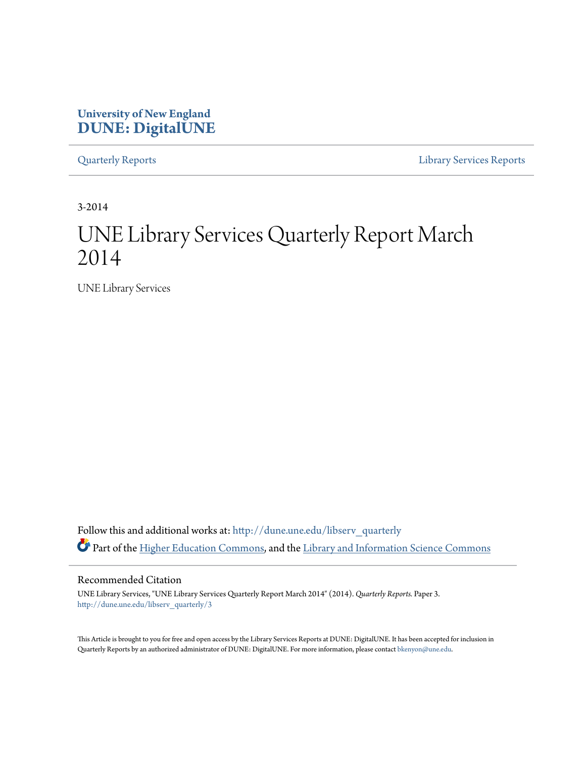### **University of New England [DUNE: DigitalUNE](http://dune.une.edu?utm_source=dune.une.edu%2Flibserv_quarterly%2F3&utm_medium=PDF&utm_campaign=PDFCoverPages)**

[Quarterly Reports](http://dune.une.edu/libserv_quarterly?utm_source=dune.une.edu%2Flibserv_quarterly%2F3&utm_medium=PDF&utm_campaign=PDFCoverPages) [Library Services Reports](http://dune.une.edu/libserv_reports?utm_source=dune.une.edu%2Flibserv_quarterly%2F3&utm_medium=PDF&utm_campaign=PDFCoverPages)

3-2014

# UNE Library Services Quarterly Report March 2014

UNE Library Services

Follow this and additional works at: [http://dune.une.edu/libserv\\_quarterly](http://dune.une.edu/libserv_quarterly?utm_source=dune.une.edu%2Flibserv_quarterly%2F3&utm_medium=PDF&utm_campaign=PDFCoverPages) Part of the [Higher Education Commons](http://network.bepress.com/hgg/discipline/1245?utm_source=dune.une.edu%2Flibserv_quarterly%2F3&utm_medium=PDF&utm_campaign=PDFCoverPages), and the [Library and Information Science Commons](http://network.bepress.com/hgg/discipline/1018?utm_source=dune.une.edu%2Flibserv_quarterly%2F3&utm_medium=PDF&utm_campaign=PDFCoverPages)

Recommended Citation

UNE Library Services, "UNE Library Services Quarterly Report March 2014" (2014). *Quarterly Reports.* Paper 3. [http://dune.une.edu/libserv\\_quarterly/3](http://dune.une.edu/libserv_quarterly/3?utm_source=dune.une.edu%2Flibserv_quarterly%2F3&utm_medium=PDF&utm_campaign=PDFCoverPages)

This Article is brought to you for free and open access by the Library Services Reports at DUNE: DigitalUNE. It has been accepted for inclusion in Quarterly Reports by an authorized administrator of DUNE: DigitalUNE. For more information, please contact [bkenyon@une.edu.](mailto:bkenyon@une.edu)